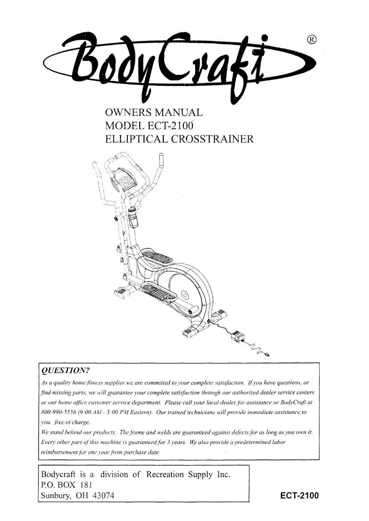

## **OWNERS MANUAL** MODEL ECT-2100 ELLIPTICAL CROSSTRAINER



### **QUESTION?**

As a quality home fitness supplier we are committed to your complete satisfaction. If you have questions, or find missing parts, we will guarantee your complete satisfaction through our authorized dealer service centers or our home office customer service department. Please call your local dealer for assistance or BodyCraft at 800-990-5556 (9:00 AM - 5:00 PM Eastern). Our trained technicians will provide immediate assistance to vou, free of charge.

We stand behind our products. The frame and welds are guaranteed against defects for as long as you own it. Every other part of this machine is guaranteed for 3 years. We also provide a predetermined labor reimbursement for one year from purchase date.

Bodycraft is a division of Recreation Supply Inc. P.O. BOX 181 Sunbury, OH 43074

**ECT-2100**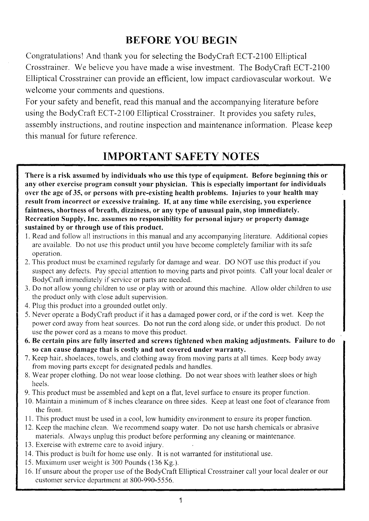## BEFORE YOU BEGIN

Congratulations! And thank you for selecting the BodyCraft ECT-2100 Elliptical Crosstrainer. We believe you have made a wise investrnent. The BodyCraft ECT-2100 Elliptical Crosstrainer can provide an efficient, low impact cardiovascular workout. We welcome your comments and questions.

For your safety and benefit, read this manual and the accompanying literature before using the BodyCraft ECT-2 100 Elliptical Crosstrainer. It provides you safety rules, assembly instructions, and routine inspection and maintenance information. Please keep this manual for future reference.

## IMPORTANT SAFETY NOTES

There is a risk assumed by individuals who use this type of equipment. Before beginning this or any other exercise program consult your physician. This is especially important for individuals over the age of 35, or persons with pre-existing health problems. Injuries to your health may result from incorrect or excessive training. If, at any time while exercising, you experience faintness, shortness of breath, dizziness, or any type of unusual pain, stop immediately. Recreation Supply, Inc. assumes no responsibility for personal injury or property damage sustained by or through use of this product.

- 1. Read and follow all instructions in this manual and any accompanying literature. Additional copies are available. Do not use this product until you have become completely familiar with its safe operation.
- 2. This product must be examined regularly for damage and wear. DO NOT use this product if you suspect any defects. Pay special attention to moving parts and pivot points. Call your local dealer or BodyCraft immediately if service or parts are needed.
- 3. Do not allow young children to use or play with or around this machine. Allow older children to use the product only with close adult supervision.
- 4. PIug this product into a grounded outlet only.
- 5. Never operate a BodyCraft product if it has a damaged power cord, or if the cord is wet. Keep the power cord away from heat sources. Do not run the cord along side, or under this product. Do not use the power cord as a means to move this product.
- 6. Be certain pins are fully inserted and screws tightened when making adjustments. Failure to do so can cause damage that is costly and not covered under warranty.
- 7. Keep hair, shoelaces, towels, and clothing away from moving parts at all times. Keep body away from moving parts except for designated pedals and handles.
- 8. Wear proper clothing. Do not wear loose clothing. Do not wear shoes with leather sloes or high heels.
- 9. This product must be assembled and kept on a flat, level surface to ensure its proper function.
- 10. Maintain a minimum of 8 inches clearance on three sides. Keep at least one foot of clearance from the fiont.
- 11. This product must be used in a cool, low humidity environment to ensure its proper function.
- 12. Keep the rnachine clean. We recommend soapy water. Do not use harsh chemicals or abrasive materials. Always unplug this product before perfonning any cleaning or maintenance.
- 13. Exercise with extreme care to avoid injury.
- 14. This product is built for home use only. It is not warranted for institutional use.
- 15. Maximum user weight is 300 Pounds (136 Kg.).
- 16. if unsure about the proper use of the BodyCraft Elliptical Crosstrainer call your local dealer or our customer service deoartment at 800-990-5556.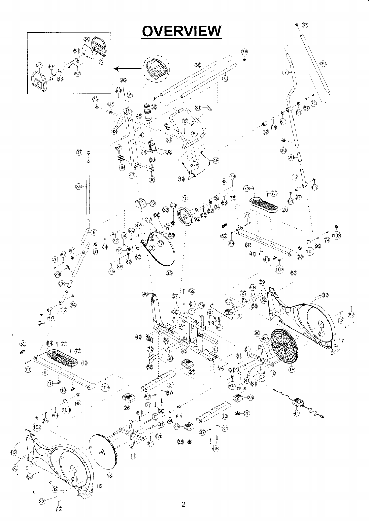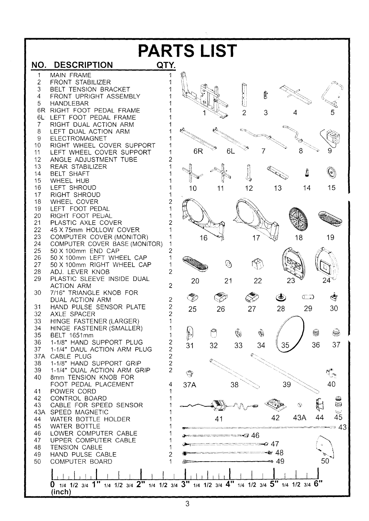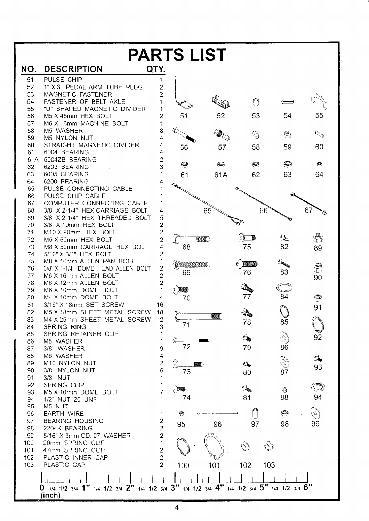| <b>PARTS LIST</b> |                                                                                           |                                           |                                                                                                                                                                                          |                             |               |         |                |
|-------------------|-------------------------------------------------------------------------------------------|-------------------------------------------|------------------------------------------------------------------------------------------------------------------------------------------------------------------------------------------|-----------------------------|---------------|---------|----------------|
| NO.               | <b>DESCRIPTION</b>                                                                        | QTY.                                      |                                                                                                                                                                                          |                             |               |         |                |
| 51                | PULSE CHIP                                                                                | 1                                         |                                                                                                                                                                                          |                             |               |         |                |
| 52                | 1" X 3" PEDAL ARM TUBE PLUG                                                               | $\overline{c}$                            |                                                                                                                                                                                          |                             |               |         |                |
| 53                | MAGNETIC FASTENER                                                                         | $\overline{2}$                            |                                                                                                                                                                                          |                             |               |         |                |
| 54                | FASTENER OF BELT AXLE                                                                     |                                           |                                                                                                                                                                                          |                             | $\Theta$      |         |                |
| 55                | "U" SHAPED MAGNETIC DIVIDER                                                               |                                           |                                                                                                                                                                                          |                             |               |         |                |
| 56                | M5 X 45mm HEX BOLT                                                                        | 2                                         | 51                                                                                                                                                                                       | 52                          | 53            | 54      | 55             |
| 57                | M6 X 16mm MACHINE BOLT                                                                    | 1                                         |                                                                                                                                                                                          |                             |               |         |                |
| 58                | M5 WASHER                                                                                 | 8<br>4                                    |                                                                                                                                                                                          |                             | $\circledS$   | ⊜       |                |
| 59<br>60          | M5 NYLON NUT<br>STRAIGHT MAGNETIC DIVIDER                                                 | 4                                         |                                                                                                                                                                                          |                             |               |         |                |
| 61                | 6004 BEARING                                                                              | 4                                         | 56                                                                                                                                                                                       | 57                          | 58            | 59      | 60             |
| 61A               | 6004ZB BEARING                                                                            | $\overline{c}$                            |                                                                                                                                                                                          |                             |               |         |                |
| 62                | 6203 BEARING                                                                              | 3                                         | ◎                                                                                                                                                                                        | $\boldsymbol{\circledcirc}$ | ◉             | O       | ◉              |
| 63                | 6005 BEARING                                                                              |                                           | 61                                                                                                                                                                                       | 61A                         | 62            | 63      | 64             |
| 64                | 6200 BEARING                                                                              |                                           |                                                                                                                                                                                          |                             |               |         |                |
| 65                | PULSE CONNECTING CABLE                                                                    |                                           |                                                                                                                                                                                          |                             |               |         |                |
| 66                | PULSE CHIP CABLE                                                                          |                                           |                                                                                                                                                                                          |                             |               |         |                |
| 67                | COMPUTER CONNECTING CABLE                                                                 |                                           |                                                                                                                                                                                          |                             |               |         |                |
| 68                | 3/8" X 2-1/4" HEX CARRIAGE BOLT                                                           | 4                                         |                                                                                                                                                                                          | 65                          | 66            |         | 67             |
| 69                | 3/8" X 2-1/4" HEX THREADED BOLT                                                           | 5                                         |                                                                                                                                                                                          |                             |               |         |                |
| 70                | 3/8" X 19mm HEX BOLT                                                                      | $\overline{2}$                            |                                                                                                                                                                                          |                             |               |         |                |
| 71                | M10 X 90mm HEX BOLT                                                                       | $\overline{\mathbf{c}}$                   |                                                                                                                                                                                          | anumum <sup>k</sup>         |               | Cby.    | E              |
| 72<br>73          | M5 X 60mm HEX BOLT<br>M8 X 50mm CARRIAGE HEX BOLT                                         | $\overline{c}$<br>4                       | 68                                                                                                                                                                                       |                             | 75            | 82      |                |
| 74                | 5/16" X 3/4" HEX BOLT                                                                     | $\overline{c}$                            |                                                                                                                                                                                          |                             |               |         | 89             |
| 75                | M8 X 16mm ALLEN PAN BOLT                                                                  | 1                                         |                                                                                                                                                                                          |                             |               |         |                |
| 76                | 3/8" X 1-1/4" DOME HEAD ALLEN BOLT                                                        | $\overline{\mathbf{c}}$                   | <b><i><u> A COMMON COMMUNICATION COMMUNICATION COMMUNICATION COMMUNICATION COMMUNICATION COMMUNICATION COMMUNICATION COMMUNICATION COMMUNICATION COMMUNICATION COMMUNICATION</u></i></b> |                             | <b>MARKET</b> | EASTERN | S              |
| 77                | M6 X 16mm ALLEN BOLT                                                                      | $\overline{c}$                            | 69                                                                                                                                                                                       |                             | 76            | 83      | 90             |
| 78                | M6 X 12mm ALLEN BOLT                                                                      | $\overline{c}$                            |                                                                                                                                                                                          |                             |               |         |                |
| 79                | M6 X 10mm DOME BOLT                                                                       | 1                                         | <b>THE REAL</b><br>₿                                                                                                                                                                     |                             |               |         |                |
| 80                | M4 X 10mm DOME BOLT                                                                       | 4                                         | 70                                                                                                                                                                                       |                             | 77            | 84      | $\circledcirc$ |
| 81                | 3/16" X 18mm SET SCREW                                                                    | 16                                        |                                                                                                                                                                                          |                             |               |         | 91             |
| 82                | M5 X 18mm SHEET METAL SCREW                                                               | 18                                        |                                                                                                                                                                                          | <b>MANIKA</b>               |               |         |                |
| 83                | M4 X 25mm SHEET METAL SCREW                                                               | っ                                         |                                                                                                                                                                                          |                             | 78            | 85      |                |
| 84                | SPRING RING                                                                               | 3                                         | 71                                                                                                                                                                                       |                             |               |         |                |
| 85                | SPRING RETAINER CLIP                                                                      | 1                                         |                                                                                                                                                                                          |                             | <b>Q</b>      |         | 92             |
| 86                | M8 WASHER                                                                                 |                                           | 72                                                                                                                                                                                       |                             | 79            | 86      |                |
| 87                | 3/8" WASHER                                                                               | 9                                         |                                                                                                                                                                                          |                             |               |         |                |
| 88<br>89          | M6 WASHER<br>M10 NYLON NUT                                                                | 4<br>$\overline{c}$                       |                                                                                                                                                                                          |                             |               |         | $\mathcal{O}$  |
| 90                | 3/8" NYLON NUT                                                                            | 6                                         |                                                                                                                                                                                          |                             | $\alpha$      |         | 93             |
| 91                | 3/8" NUT                                                                                  | 1                                         | 73                                                                                                                                                                                       |                             | 80            | 87      |                |
| 92                | SPRING CLIP                                                                               | 1                                         |                                                                                                                                                                                          |                             |               |         |                |
| 93                | M5 X 10mm DOME BOLT                                                                       | 7                                         |                                                                                                                                                                                          |                             |               | O)      |                |
| 94                | 1/2" NUT 20 UNF                                                                           |                                           | 74                                                                                                                                                                                       |                             | 81            | 88      | 94             |
| 95                | M5 NUT                                                                                    |                                           |                                                                                                                                                                                          |                             |               |         |                |
| 96                | <b>EARTH WIRE</b>                                                                         |                                           | 9                                                                                                                                                                                        |                             |               | O       | O,             |
| 97                | <b>BEARING HOUSING</b>                                                                    | $\overline{\mathbf{c}}$                   | 95                                                                                                                                                                                       | 96                          | 97            | 98      | 99             |
| 98                | 2204K BEARING                                                                             | $\overline{c}$                            |                                                                                                                                                                                          |                             |               |         |                |
| 99                | 5/16" X 3mm OD. 27 WASHER                                                                 | $\overline{c}$                            |                                                                                                                                                                                          |                             |               |         |                |
| 100               | 20mm SPRING CLIP                                                                          | 1                                         |                                                                                                                                                                                          |                             |               |         |                |
| 101<br>102        | 47mm SPRING CLIP<br>PLASTIC INNER CAP                                                     | $\overline{\mathbf{c}}$<br>$\overline{c}$ |                                                                                                                                                                                          |                             |               |         |                |
| 103               | PLASTIC CAP                                                                               | $\overline{2}$                            | 100                                                                                                                                                                                      | 101                         | 102           | 103     |                |
|                   |                                                                                           |                                           |                                                                                                                                                                                          |                             |               |         |                |
|                   |                                                                                           |                                           |                                                                                                                                                                                          |                             |               |         |                |
|                   | 1/4 1/2 3/4 1" 1/4 1/2 3/4 2" 1/4 1/2 3/4 3" 1/4 1/2 3/4 4" 1/4 1/2 3/4 5" 1/4 1/2 3/4 6" |                                           |                                                                                                                                                                                          |                             |               |         |                |
|                   | (inch)                                                                                    |                                           |                                                                                                                                                                                          |                             |               |         |                |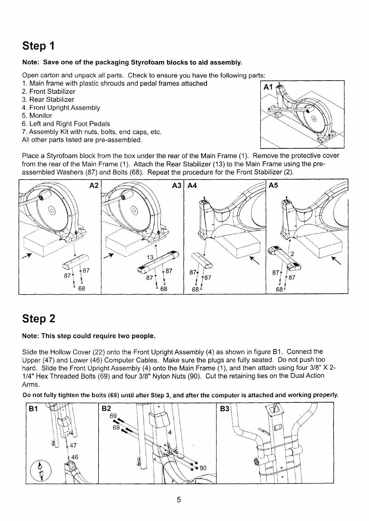#### Note: Save one of the packaging Styrofoam blocks to aid assembly.

Open carton and unpack all parts. Check to ensure you have the following

- 1. Main frame with plastic shrouds and pedal frames attached
- 2. Front Stabilizer
- 3. Rear Stabilizer
- 4. Front Upright Assembly
- 5. Monitor
- 6. Left and Right Foot Pedals
- 7. Assembly Kit with nuts, bolts, end caps, etc.

All other parts listed are pre-assembled.



Place a Styrofoam block from the box under the rear of the Main Frame (1). Remove the protective cover from the rear of the Main Frame (1 ). Attach the Rear Stabilizer (13) to the Main Frame using the preassembled Washers (87) and Bolts (68). Repeat the procedure for the Front Stabilizer (2).



# Step 2

### Note: This step could require two people.

Slide the Hollow Cover (22) onto the Front Upright Assembly (4) as shown in figure B1. Connect the Upper (47) and Lower (46) Computer Cables. Make sure the plugs are fully seated. Do not push too hard. Slide the Front Upright Assembly (4) onto the Main Frame (1), and then attach using four 3/8" X 2-1/4" Hex Threaded Bolts (69) and four 3/8" Nylon Nuts (90). Cut the retaining ties on the Dual Action Arms.

Do not fully tighten the bolts (69) until after Step 3, and after the computer is attached and working properly.

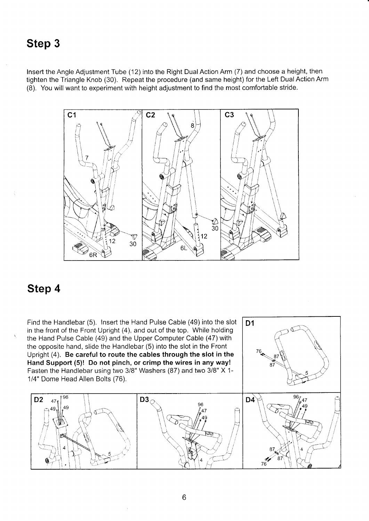Insert the Angle Adjustment Tube (12) into the Right Dual Action Arm (7) and choose a height, then tighten the Triangle Knob (30). Repeat the procedure (and same height) for the Left Dual Action Arm (8). You will want to experiment with height adjustment to find the most comfortable stride.



### Step 4

Find the Handlebar (5). Insert the Hand Pulse Cable (49) into the slot in the front of the Front Upright (4), and out of the top. While holding<br>the Head Bulse Ceble (40) and the Upper Computer Ceble (47) with the opposite hand, slide the Handlebar (5) into the slot in the Front Upright (4). Be careful to route the cables through the slot in the H land Support (5)! Do not pinch, or crimp the wires in any way! Fasten the Handlebar using two 3/8" Washers (87) and two 3/8" X 1-1/4" Dome Head Allen Bolts (76). the Hand Pulse Cable (49) and the Upper Computer Cable (47) with



D<sub>1</sub>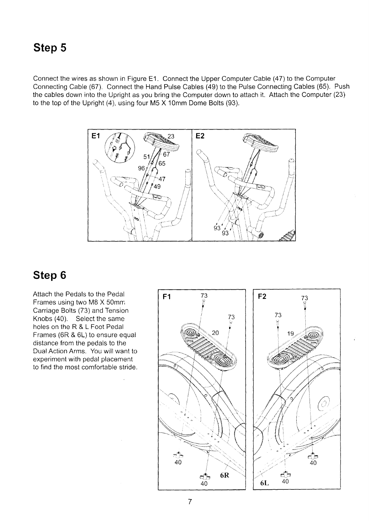Connect the wires as shown in Figure E1. Connect the Upper Computer Cable (47) to the Computer Connecting Cable (67). Connect the Hand Pulse Cables (49) to the Pulse Connecting Cables (65). Push the cables down into the Upright as you bring the Computer down to attach it. Attach the Computer (23) to the top of the Upright (4), using four M5 X 1Omm Dome Bolts (93).



## Step 6

Attach the Pedals to the Pedal Frames using two M8 X 50mm, Carriage Bolts (73) and Tension Knobs (40). Select the same holes on the R & L Foot Pedal Frames ( $6R & 6L$ ) to ensure equal distance from the pedals to the Dual Action Arms. You will want to expenment with pedal placement to find the most comfortable stride.

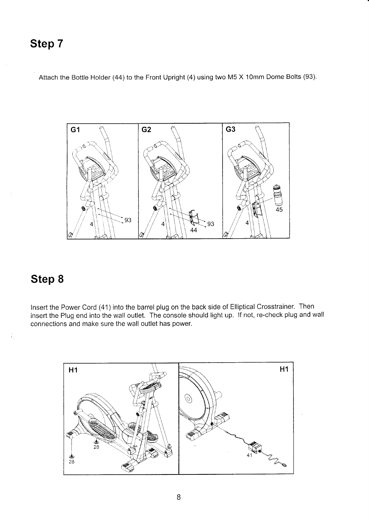Attach the Bottle Holder (44) to the Front Upright (4) using two M5 X 10mm Dome Bolts (93).



## Step 8

Insert the Power Cord (41) into the barrel plug on the back side of Elliptical Crosstrainer. Then insert the Plug end into the wall outlet. The console should light up. lf not, re-check plug and wall connections and make sure the wall outlet has power.

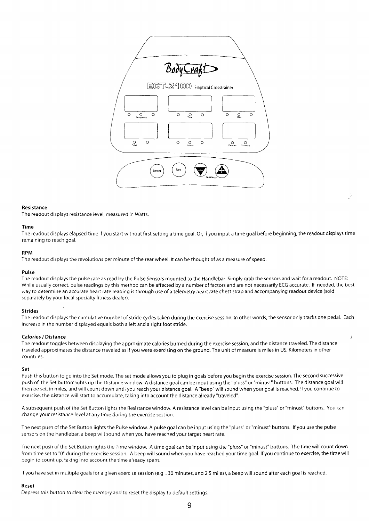

#### Resistance

The readout displays resistance level, measured in Watts.

#### Time

The readout displays elapsed time if you start without first setting a time goal. Or, if you input a time goal before beginning, the readout displays time remaining to reach goal.

#### RPM

The readout displays the revolutions per minute of the rear wheel. lt can be thought of as a measure of speed.

#### Pulse

The readout displays the pulse rate as read by the Pulse Sensors mounted to the Handlebar. Simply grab the sensors and wait for a readout. NOTE: While usually correct, pulse readings by this method can be affected by a number of factors and are not necessarily ECG accurate. If needed, the best way to determine an accurate heart rate reading is through use of a telemetry heart rate chest strap and accompanying readout device (sold separately by your local specialty fitness dealer).

#### Strides

The readout displays the cumulative number of stride cycles taken during the exercise session. In other words, the sensor only tracks one pedal. Each increase in the number displayed equals both a left and a right foot stride.

Ì

#### Calories /Distance

The readout toggles between displaying the approximate calories burned during the exercise session, and the distance traveled. The distance traveled approximates the distance traveled as if you were exercising on the ground. The unit of measure is miles in US, Kilometers in other countries.

#### Set

Push this button to go into the Set mode. The set mode allows you to plug in goals before you begin the exercise session. The second successive push of the Set button lights up the Distance window. A distance goal can be input using the "pluss" or "minust" buttons. The distance goal will then be set, in miles, and will count down until you reach your distance goal. A "beep" will sound when your goal is reached. lf you continue to exercise, the distance will start to accumulate, taking into account the distance already "traveled".

A subsequent push of the Set Button lights the Resistance window. A resistance level can be input using the "pluss" or "minust" buttons. You can change your resistance level at any time during the exercise session.

The next push of the Set Button lights the Pulse window. A pulse goal can be input using the "pluss" or "minust" buttons. lf you use the pulse sensors on the Handlebar, abeep will sound when you have reached your target heart rate.

The next push of the 5et Button lights the Time window. A time goal can be input using the "pluss" or "minust" buttons. The time wiil count down from time set to "0" during the exercise session. A beep will sound when you have reached your time goal. If you continue to exercise, the time will begin to count up, taking inro account the time already spent.

lf you have set in multiple goals for a given exercise session (e.9... 30 minutes, and 2.5 miles), a beep will sound after each goal is reached.

#### Reset

Depress this button to clear the memory and to reset the display to default settings.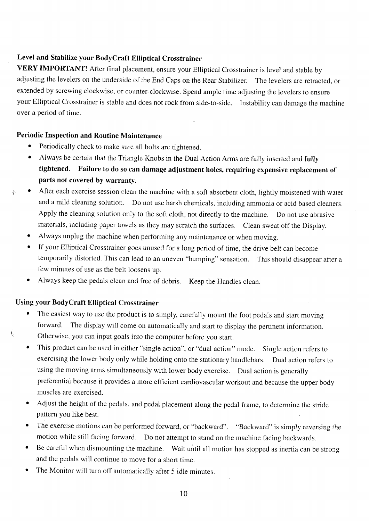### Level and Stabilize your BodyCraft Elliptical Crosstrainer

VERY IMPORTANT! After final placement, ensure your Elliptical Crosstrainer is level and stable by adjusting the levelers on the underside of the End Caps on the Rear Stabilizer. The levelers are retracted, or extended by screwing clockwise, or counter-clockwise. Spend ample time adjusting the levelers to ensure your Elliptical Crosstrainer is stable and does not rock from side-to-side. Instability can damage the machine over a period of time.

### Periodic Inspection and Routine Maintenance

- Periodically check to make sure all bolts are tightened.
- Always be certain that the Triangle Knobs in the Dual Action Arms are fully inserted and fully tightened. Failure to do so can damage adjustment holes, requiring expensive replacement of parts not covered by warranty.
- **•** After each exercise session clean the machine with a soft absorbent cloth, lightly moistened with water and a mild cleaning solutior:. Do not use harsh chemicals, including ammonia or acid based cleaners. Apply the cleaning solution only to the soft cloth, not directly to the machine. Do not use abrasive materials, including paper towels as they may scratch the surfaces. Clean sweat off the Display.
	- Always unplug the machine when performing any maintenance or when moving.
	- o If your Elliptical Crosstrainer goes unused for a long period of time, the drive belt can become temporarily distorted. This can lead to an uneven "bumping" sensation. This should disappear after a few minutes of use as the belt loosens up.
	- Always keep the pedals clean and free of debris. Keep the Handles clean.

### Using your BodyCraft Elliptical Crosstrainer

- The easiest way to use the product is to simply, carefully mount the foot pedals and start moving forward. The display will come on automatically and start to display the pertinent information. \ otherwise, you can input goals into the computer before you start.
	- o This product can be used in either "single action", or "dual action" mode. Single action refers to exercising the lower body only while holding onto the stationary handlebars. Dual action refers to using the moving arms simultaneously with lower body exercise. Dual action is generally preferential because it provides a more efficient cardiovascular workout and because the upper body muscles are exercised.
	- r Adjust the height of the pedals, and pedal placement along the pedal frame, to determine the stride pattern you like best.
	- The exercise motions can be performed forward, or "backward". "Backward" is simply reversing the motion while still facing forward. Do not attempt to stand on the machine facing backwards.
	- o Be careful when dismounting the machine. Wait until all motion has stopped as inertia can be strong and the pedals will continue to move for a short time.
	- The Monitor will turn off automatically after 5 idle minutes.